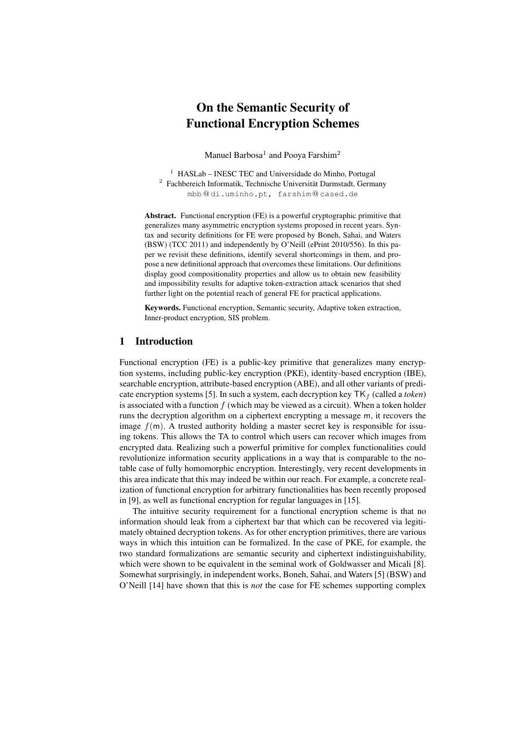# On the Semantic Security of Functional Encryption Schemes

Manuel Barbosa<sup>1</sup> and Pooya Farshim<sup>2</sup>

<sup>1</sup> HASLab – INESC TEC and Universidade do Minho, Portugal <sup>2</sup> Fachbereich Informatik, Technische Universität Darmstadt, Germany mbb @ di.uminho.pt, farshim @ cased.de

Abstract. Functional encryption (FE) is a powerful cryptographic primitive that generalizes many asymmetric encryption systems proposed in recent years. Syntax and security definitions for FE were proposed by Boneh, Sahai, and Waters (BSW) (TCC 2011) and independently by O'Neill (ePrint 2010/556). In this paper we revisit these definitions, identify several shortcomings in them, and propose a new definitional approach that overcomes these limitations. Our definitions display good compositionality properties and allow us to obtain new feasibility and impossibility results for adaptive token-extraction attack scenarios that shed further light on the potential reach of general FE for practical applications.

Keywords. Functional encryption, Semantic security, Adaptive token extraction, Inner-product encryption, SIS problem.

#### 1 Introduction

Functional encryption (FE) is a public-key primitive that generalizes many encryption systems, including public-key encryption (PKE), identity-based encryption (IBE), searchable encryption, attribute-based encryption (ABE), and all other variants of predicate encryption systems [5]. In such a system, each decryption key  $TK_f$  (called a *token*) is associated with a function  $f$  (which may be viewed as a circuit). When a token holder runs the decryption algorithm on a ciphertext encrypting a message m, it recovers the image  $f(m)$ . A trusted authority holding a master secret key is responsible for issuing tokens. This allows the TA to control which users can recover which images from encrypted data. Realizing such a powerful primitive for complex functionalities could revolutionize information security applications in a way that is comparable to the notable case of fully homomorphic encryption. Interestingly, very recent developments in this area indicate that this may indeed be within our reach. For example, a concrete realization of functional encryption for arbitrary functionalities has been recently proposed in [9], as well as functional encryption for regular languages in [15].

The intuitive security requirement for a functional encryption scheme is that no information should leak from a ciphertext bar that which can be recovered via legitimately obtained decryption tokens. As for other encryption primitives, there are various ways in which this intuition can be formalized. In the case of PKE, for example, the two standard formalizations are semantic security and ciphertext indistinguishability, which were shown to be equivalent in the seminal work of Goldwasser and Micali [8]. Somewhat surprisingly, in independent works, Boneh, Sahai, and Waters [5] (BSW) and O'Neill [14] have shown that this is *not* the case for FE schemes supporting complex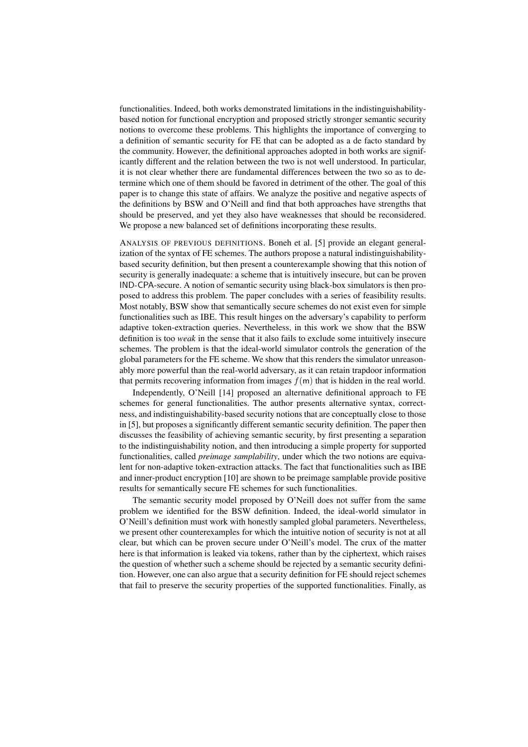functionalities. Indeed, both works demonstrated limitations in the indistinguishabilitybased notion for functional encryption and proposed strictly stronger semantic security notions to overcome these problems. This highlights the importance of converging to a definition of semantic security for FE that can be adopted as a de facto standard by the community. However, the definitional approaches adopted in both works are significantly different and the relation between the two is not well understood. In particular, it is not clear whether there are fundamental differences between the two so as to determine which one of them should be favored in detriment of the other. The goal of this paper is to change this state of affairs. We analyze the positive and negative aspects of the definitions by BSW and O'Neill and find that both approaches have strengths that should be preserved, and yet they also have weaknesses that should be reconsidered. We propose a new balanced set of definitions incorporating these results.

ANALYSIS OF PREVIOUS DEFINITIONS. Boneh et al. [5] provide an elegant generalization of the syntax of FE schemes. The authors propose a natural indistinguishabilitybased security definition, but then present a counterexample showing that this notion of security is generally inadequate: a scheme that is intuitively insecure, but can be proven IND-CPA-secure. A notion of semantic security using black-box simulators is then proposed to address this problem. The paper concludes with a series of feasibility results. Most notably, BSW show that semantically secure schemes do not exist even for simple functionalities such as IBE. This result hinges on the adversary's capability to perform adaptive token-extraction queries. Nevertheless, in this work we show that the BSW definition is too *weak* in the sense that it also fails to exclude some intuitively insecure schemes. The problem is that the ideal-world simulator controls the generation of the global parameters for the FE scheme. We show that this renders the simulator unreasonably more powerful than the real-world adversary, as it can retain trapdoor information that permits recovering information from images  $f(m)$  that is hidden in the real world.

Independently, O'Neill [14] proposed an alternative definitional approach to FE schemes for general functionalities. The author presents alternative syntax, correctness, and indistinguishability-based security notions that are conceptually close to those in [5], but proposes a significantly different semantic security definition. The paper then discusses the feasibility of achieving semantic security, by first presenting a separation to the indistinguishability notion, and then introducing a simple property for supported functionalities, called *preimage samplability*, under which the two notions are equivalent for non-adaptive token-extraction attacks. The fact that functionalities such as IBE and inner-product encryption [10] are shown to be preimage samplable provide positive results for semantically secure FE schemes for such functionalities.

The semantic security model proposed by O'Neill does not suffer from the same problem we identified for the BSW definition. Indeed, the ideal-world simulator in O'Neill's definition must work with honestly sampled global parameters. Nevertheless, we present other counterexamples for which the intuitive notion of security is not at all clear, but which can be proven secure under O'Neill's model. The crux of the matter here is that information is leaked via tokens, rather than by the ciphertext, which raises the question of whether such a scheme should be rejected by a semantic security definition. However, one can also argue that a security definition for FE should reject schemes that fail to preserve the security properties of the supported functionalities. Finally, as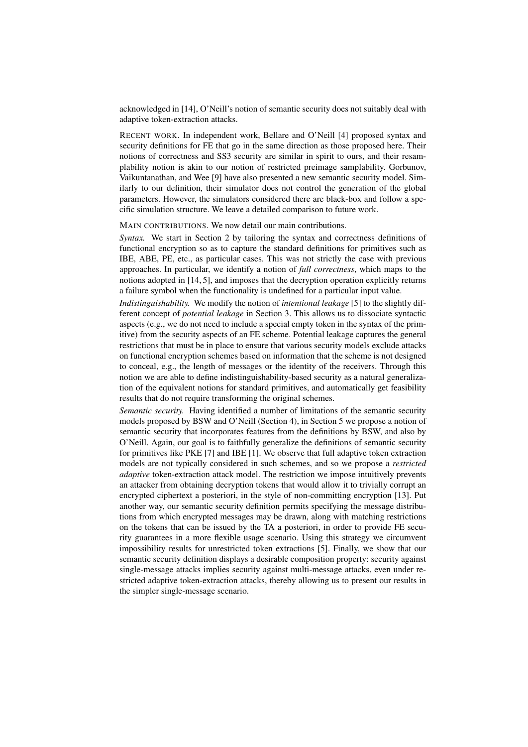acknowledged in [14], O'Neill's notion of semantic security does not suitably deal with adaptive token-extraction attacks.

RECENT WORK. In independent work, Bellare and O'Neill [4] proposed syntax and security definitions for FE that go in the same direction as those proposed here. Their notions of correctness and SS3 security are similar in spirit to ours, and their resamplability notion is akin to our notion of restricted preimage samplability. Gorbunov, Vaikuntanathan, and Wee [9] have also presented a new semantic security model. Similarly to our definition, their simulator does not control the generation of the global parameters. However, the simulators considered there are black-box and follow a specific simulation structure. We leave a detailed comparison to future work.

MAIN CONTRIBUTIONS. We now detail our main contributions.

*Syntax.* We start in Section 2 by tailoring the syntax and correctness definitions of functional encryption so as to capture the standard definitions for primitives such as IBE, ABE, PE, etc., as particular cases. This was not strictly the case with previous approaches. In particular, we identify a notion of *full correctness*, which maps to the notions adopted in [14, 5], and imposes that the decryption operation explicitly returns a failure symbol when the functionality is undefined for a particular input value.

*Indistinguishability.* We modify the notion of *intentional leakage* [5] to the slightly different concept of *potential leakage* in Section 3. This allows us to dissociate syntactic aspects (e.g., we do not need to include a special empty token in the syntax of the primitive) from the security aspects of an FE scheme. Potential leakage captures the general restrictions that must be in place to ensure that various security models exclude attacks on functional encryption schemes based on information that the scheme is not designed to conceal, e.g., the length of messages or the identity of the receivers. Through this notion we are able to define indistinguishability-based security as a natural generalization of the equivalent notions for standard primitives, and automatically get feasibility results that do not require transforming the original schemes.

*Semantic security.* Having identified a number of limitations of the semantic security models proposed by BSW and O'Neill (Section 4), in Section 5 we propose a notion of semantic security that incorporates features from the definitions by BSW, and also by O'Neill. Again, our goal is to faithfully generalize the definitions of semantic security for primitives like PKE [7] and IBE [1]. We observe that full adaptive token extraction models are not typically considered in such schemes, and so we propose a *restricted adaptive* token-extraction attack model. The restriction we impose intuitively prevents an attacker from obtaining decryption tokens that would allow it to trivially corrupt an encrypted ciphertext a posteriori, in the style of non-committing encryption [13]. Put another way, our semantic security definition permits specifying the message distributions from which encrypted messages may be drawn, along with matching restrictions on the tokens that can be issued by the TA a posteriori, in order to provide FE security guarantees in a more flexible usage scenario. Using this strategy we circumvent impossibility results for unrestricted token extractions [5]. Finally, we show that our semantic security definition displays a desirable composition property: security against single-message attacks implies security against multi-message attacks, even under restricted adaptive token-extraction attacks, thereby allowing us to present our results in the simpler single-message scenario.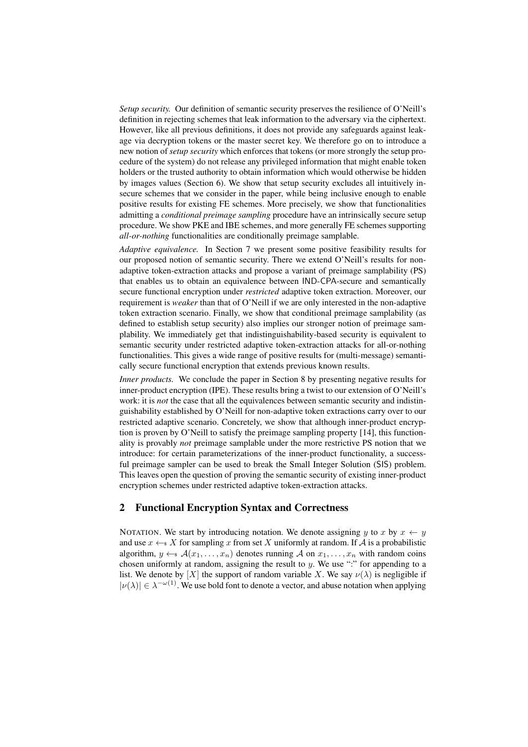*Setup security.* Our definition of semantic security preserves the resilience of O'Neill's definition in rejecting schemes that leak information to the adversary via the ciphertext. However, like all previous definitions, it does not provide any safeguards against leakage via decryption tokens or the master secret key. We therefore go on to introduce a new notion of *setup security* which enforces that tokens (or more strongly the setup procedure of the system) do not release any privileged information that might enable token holders or the trusted authority to obtain information which would otherwise be hidden by images values (Section 6). We show that setup security excludes all intuitively insecure schemes that we consider in the paper, while being inclusive enough to enable positive results for existing FE schemes. More precisely, we show that functionalities admitting a *conditional preimage sampling* procedure have an intrinsically secure setup procedure. We show PKE and IBE schemes, and more generally FE schemes supporting *all-or-nothing* functionalities are conditionally preimage samplable.

*Adaptive equivalence.* In Section 7 we present some positive feasibility results for our proposed notion of semantic security. There we extend O'Neill's results for nonadaptive token-extraction attacks and propose a variant of preimage samplability (PS) that enables us to obtain an equivalence between IND-CPA-secure and semantically secure functional encryption under *restricted* adaptive token extraction. Moreover, our requirement is *weaker* than that of O'Neill if we are only interested in the non-adaptive token extraction scenario. Finally, we show that conditional preimage samplability (as defined to establish setup security) also implies our stronger notion of preimage samplability. We immediately get that indistinguishability-based security is equivalent to semantic security under restricted adaptive token-extraction attacks for all-or-nothing functionalities. This gives a wide range of positive results for (multi-message) semantically secure functional encryption that extends previous known results.

*Inner products.* We conclude the paper in Section 8 by presenting negative results for inner-product encryption (IPE). These results bring a twist to our extension of O'Neill's work: it is *not* the case that all the equivalences between semantic security and indistinguishability established by O'Neill for non-adaptive token extractions carry over to our restricted adaptive scenario. Concretely, we show that although inner-product encryption is proven by O'Neill to satisfy the preimage sampling property [14], this functionality is provably *not* preimage samplable under the more restrictive PS notion that we introduce: for certain parameterizations of the inner-product functionality, a successful preimage sampler can be used to break the Small Integer Solution (SIS) problem. This leaves open the question of proving the semantic security of existing inner-product encryption schemes under restricted adaptive token-extraction attacks.

# 2 Functional Encryption Syntax and Correctness

NOTATION. We start by introducing notation. We denote assigning y to x by  $x \leftarrow y$ and use  $x \leftarrow s X$  for sampling x from set X uniformly at random. If A is a probabilistic algorithm,  $y \leftarrow s \mathcal{A}(x_1, \ldots, x_n)$  denotes running A on  $x_1, \ldots, x_n$  with random coins chosen uniformly at random, assigning the result to  $y$ . We use ":" for appending to a list. We denote by [X] the support of random variable X. We say  $\nu(\lambda)$  is negligible if  $|\nu(\lambda)| \in \lambda^{-\omega(1)}$ . We use bold font to denote a vector, and abuse notation when applying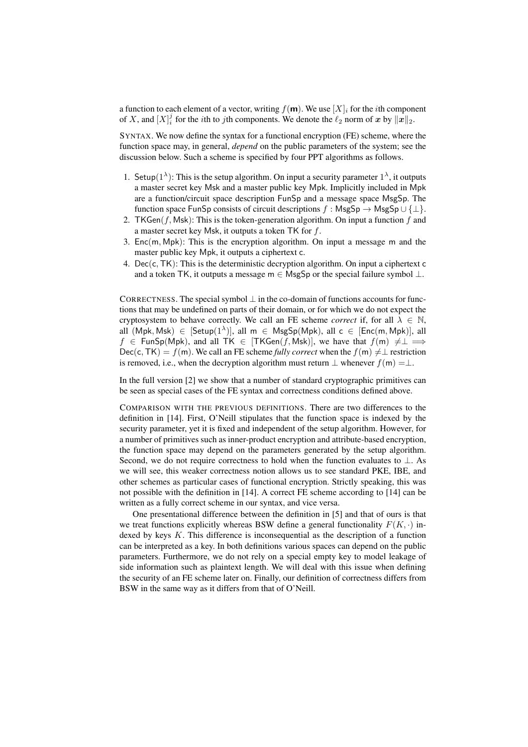a function to each element of a vector, writing  $f(\mathbf{m})$ . We use  $[X]_i$  for the *i*th component of X, and  $[X]_i^j$  for the *i*th to *j*th components. We denote the  $\ell_2$  norm of x by  $\|\mathbf{x}\|_2$ .

SYNTAX. We now define the syntax for a functional encryption (FE) scheme, where the function space may, in general, *depend* on the public parameters of the system; see the discussion below. Such a scheme is specified by four PPT algorithms as follows.

- 1. Setup( $1^{\lambda}$ ): This is the setup algorithm. On input a security parameter  $1^{\lambda}$ , it outputs a master secret key Msk and a master public key Mpk. Implicitly included in Mpk are a function/circuit space description FunSp and a message space MsgSp. The function space FunSp consists of circuit descriptions  $f : \mathsf{MsgSp} \to \mathsf{MsgSp} \cup \{\perp\}.$
- 2. TKGen( $f$ , Msk): This is the token-generation algorithm. On input a function  $f$  and a master secret key Msk, it outputs a token TK for f.
- 3. Enc(m, Mpk): This is the encryption algorithm. On input a message m and the master public key Mpk, it outputs a ciphertext c.
- 4. Dec(c,TK): This is the deterministic decryption algorithm. On input a ciphertext c and a token TK, it outputs a message m  $\in$  MsgSp or the special failure symbol  $\perp$ .

CORRECTNESS. The special symbol  $\perp$  in the co-domain of functions accounts for functions that may be undefined on parts of their domain, or for which we do not expect the cryptosystem to behave correctly. We call an FE scheme *correct* if, for all  $\lambda \in \mathbb{N}$ , all  $(Mpk, Msk) \in [Setup(1^{\lambda})],$  all  $m \in MsgSp(Mpk),$  all  $c \in [Enc(m, Mpk)],$  all  $f \in \text{FunSp}(\text{Mpk})$ , and all TK  $\in$  [TKGen $(f, \text{Msk})$ ], we have that  $f(m) \neq \perp \implies$  $Dec(c, TK) = f(m)$ . We call an FE scheme *fully correct* when the  $f(m) \neq \perp$  restriction is removed, i.e., when the decryption algorithm must return  $\perp$  whenever  $f(m) = \perp$ .

In the full version [2] we show that a number of standard cryptographic primitives can be seen as special cases of the FE syntax and correctness conditions defined above.

COMPARISON WITH THE PREVIOUS DEFINITIONS. There are two differences to the definition in [14]. First, O'Neill stipulates that the function space is indexed by the security parameter, yet it is fixed and independent of the setup algorithm. However, for a number of primitives such as inner-product encryption and attribute-based encryption, the function space may depend on the parameters generated by the setup algorithm. Second, we do not require correctness to hold when the function evaluates to  $\perp$ . As we will see, this weaker correctness notion allows us to see standard PKE, IBE, and other schemes as particular cases of functional encryption. Strictly speaking, this was not possible with the definition in [14]. A correct FE scheme according to [14] can be written as a fully correct scheme in our syntax, and vice versa.

One presentational difference between the definition in [5] and that of ours is that we treat functions explicitly whereas BSW define a general functionality  $F(K, \cdot)$  indexed by keys  $K$ . This difference is inconsequential as the description of a function can be interpreted as a key. In both definitions various spaces can depend on the public parameters. Furthermore, we do not rely on a special empty key to model leakage of side information such as plaintext length. We will deal with this issue when defining the security of an FE scheme later on. Finally, our definition of correctness differs from BSW in the same way as it differs from that of O'Neill.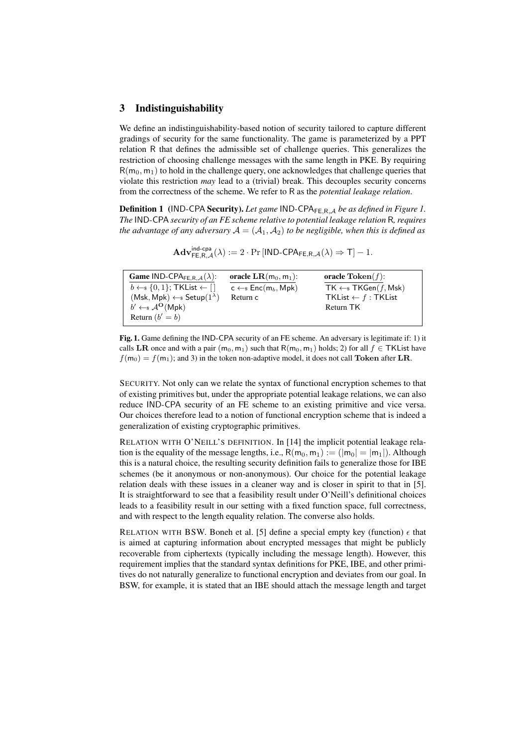## 3 Indistinguishability

We define an indistinguishability-based notion of security tailored to capture different gradings of security for the same functionality. The game is parameterized by a PPT relation R that defines the admissible set of challenge queries. This generalizes the restriction of choosing challenge messages with the same length in PKE. By requiring  $R(m_0, m_1)$  to hold in the challenge query, one acknowledges that challenge queries that violate this restriction *may* lead to a (trivial) break. This decouples security concerns from the correctness of the scheme. We refer to R as the *potential leakage relation*.

**Definition 1** (IND-CPA Security). Let game IND-CPA<sub>FE,R,A</sub> be as defined in Figure 1. *The* IND-CPA *security of an FE scheme relative to potential leakage relation* R*, requires the advantage of any adversary*  $A = (A_1, A_2)$  *to be negligible, when this is defined as* 

 $\mathbf{Adv}_{\mathsf{FE},\mathsf{R},\mathcal{A}}^{\mathsf{ind-cpa}}(\lambda) := 2 \cdot \Pr\left[\mathsf{IND}\text{-}\mathsf{CPA}_{\mathsf{FE},\mathsf{R},\mathcal{A}}(\lambda) \Rightarrow \mathsf{T}\right] - 1.$ 

| <b>Game IND-CPA</b> <sub>FE,R,<math>A(\lambda)</math>:</sub> | oracle $LR(m_0, m_1)$ :                 | oracle Token $(f)$ :            |
|--------------------------------------------------------------|-----------------------------------------|---------------------------------|
| $b \leftarrow s \{0,1\}$ ; TKList $\leftarrow \lceil \rceil$ | $c \leftarrow s \mathsf{Enc}(m_b, Mpk)$ | $TK \leftarrow s$ TKGen(f, Msk) |
| $(Msk, Mpk) \leftarrow s$ Setup $(1^{\lambda})$              | Return c                                | $TKList \leftarrow f : TKList$  |
| $b' \leftarrow \mathcal{A}^{\mathbf{O}}(\mathsf{Mpk})$       |                                         | Return TK                       |
| Return $(b' = b)$                                            |                                         |                                 |

Fig. 1. Game defining the IND-CPA security of an FE scheme. An adversary is legitimate if: 1) it calls LR once and with a pair  $(m_0, m_1)$  such that  $R(m_0, m_1)$  holds; 2) for all  $f \in TK$ List have  $f(m_0) = f(m_1)$ ; and 3) in the token non-adaptive model, it does not call **Token** after LR.

SECURITY. Not only can we relate the syntax of functional encryption schemes to that of existing primitives but, under the appropriate potential leakage relations, we can also reduce IND-CPA security of an FE scheme to an existing primitive and vice versa. Our choices therefore lead to a notion of functional encryption scheme that is indeed a generalization of existing cryptographic primitives.

RELATION WITH O'NEILL'S DEFINITION. In [14] the implicit potential leakage relation is the equality of the message lengths, i.e.,  $R(m_0, m_1) := (|m_0| = |m_1|)$ . Although this is a natural choice, the resulting security definition fails to generalize those for IBE schemes (be it anonymous or non-anonymous). Our choice for the potential leakage relation deals with these issues in a cleaner way and is closer in spirit to that in [5]. It is straightforward to see that a feasibility result under O'Neill's definitional choices leads to a feasibility result in our setting with a fixed function space, full correctness, and with respect to the length equality relation. The converse also holds.

RELATION WITH BSW. Boneh et al. [5] define a special empty key (function)  $\epsilon$  that is aimed at capturing information about encrypted messages that might be publicly recoverable from ciphertexts (typically including the message length). However, this requirement implies that the standard syntax definitions for PKE, IBE, and other primitives do not naturally generalize to functional encryption and deviates from our goal. In BSW, for example, it is stated that an IBE should attach the message length and target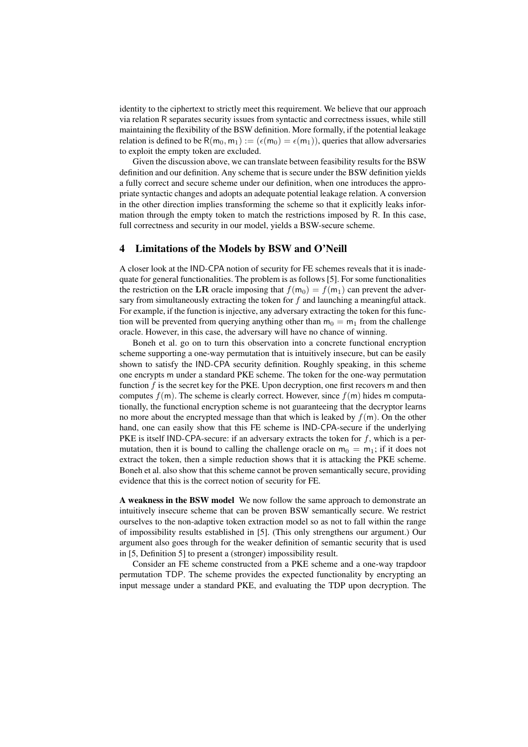identity to the ciphertext to strictly meet this requirement. We believe that our approach via relation R separates security issues from syntactic and correctness issues, while still maintaining the flexibility of the BSW definition. More formally, if the potential leakage relation is defined to be  $R(m_0, m_1) := (\epsilon(m_0) = \epsilon(m_1))$ , queries that allow adversaries to exploit the empty token are excluded.

Given the discussion above, we can translate between feasibility results for the BSW definition and our definition. Any scheme that is secure under the BSW definition yields a fully correct and secure scheme under our definition, when one introduces the appropriate syntactic changes and adopts an adequate potential leakage relation. A conversion in the other direction implies transforming the scheme so that it explicitly leaks information through the empty token to match the restrictions imposed by R. In this case, full correctness and security in our model, yields a BSW-secure scheme.

#### 4 Limitations of the Models by BSW and O'Neill

A closer look at the IND-CPA notion of security for FE schemes reveals that it is inadequate for general functionalities. The problem is as follows [5]. For some functionalities the restriction on the LR oracle imposing that  $f(m_0) = f(m_1)$  can prevent the adversary from simultaneously extracting the token for  $f$  and launching a meaningful attack. For example, if the function is injective, any adversary extracting the token for this function will be prevented from querying anything other than  $m_0 = m_1$  from the challenge oracle. However, in this case, the adversary will have no chance of winning.

Boneh et al. go on to turn this observation into a concrete functional encryption scheme supporting a one-way permutation that is intuitively insecure, but can be easily shown to satisfy the IND-CPA security definition. Roughly speaking, in this scheme one encrypts m under a standard PKE scheme. The token for the one-way permutation function  $f$  is the secret key for the PKE. Upon decryption, one first recovers m and then computes  $f(m)$ . The scheme is clearly correct. However, since  $f(m)$  hides m computationally, the functional encryption scheme is not guaranteeing that the decryptor learns no more about the encrypted message than that which is leaked by  $f(m)$ . On the other hand, one can easily show that this FE scheme is IND-CPA-secure if the underlying PKE is itself IND-CPA-secure: if an adversary extracts the token for  $f$ , which is a permutation, then it is bound to calling the challenge oracle on  $m_0 = m_1$ ; if it does not extract the token, then a simple reduction shows that it is attacking the PKE scheme. Boneh et al. also show that this scheme cannot be proven semantically secure, providing evidence that this is the correct notion of security for FE.

A weakness in the BSW model We now follow the same approach to demonstrate an intuitively insecure scheme that can be proven BSW semantically secure. We restrict ourselves to the non-adaptive token extraction model so as not to fall within the range of impossibility results established in [5]. (This only strengthens our argument.) Our argument also goes through for the weaker definition of semantic security that is used in [5, Definition 5] to present a (stronger) impossibility result.

Consider an FE scheme constructed from a PKE scheme and a one-way trapdoor permutation TDP. The scheme provides the expected functionality by encrypting an input message under a standard PKE, and evaluating the TDP upon decryption. The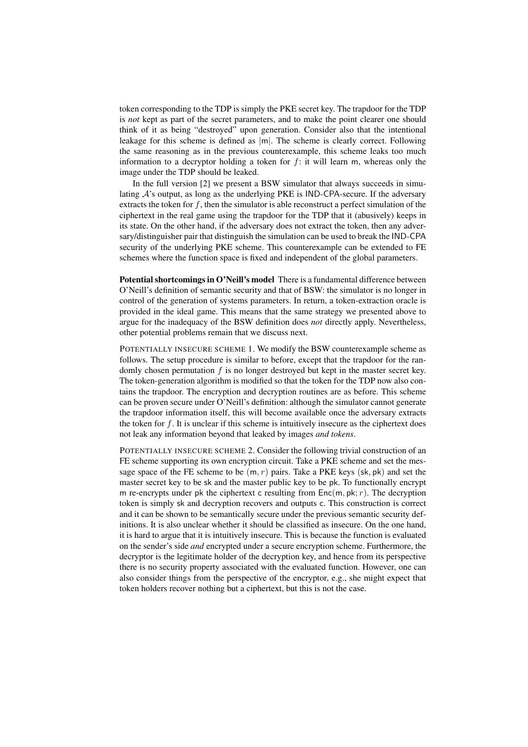token corresponding to the TDP is simply the PKE secret key. The trapdoor for the TDP is *not* kept as part of the secret parameters, and to make the point clearer one should think of it as being "destroyed" upon generation. Consider also that the intentional leakage for this scheme is defined as  $|m|$ . The scheme is clearly correct. Following the same reasoning as in the previous counterexample, this scheme leaks too much information to a decryptor holding a token for  $f$ : it will learn m, whereas only the image under the TDP should be leaked.

In the full version [2] we present a BSW simulator that always succeeds in simulating  $A$ 's output, as long as the underlying PKE is IND-CPA-secure. If the adversary extracts the token for  $f$ , then the simulator is able reconstruct a perfect simulation of the ciphertext in the real game using the trapdoor for the TDP that it (abusively) keeps in its state. On the other hand, if the adversary does not extract the token, then any adversary/distinguisher pair that distinguish the simulation can be used to break the IND-CPA security of the underlying PKE scheme. This counterexample can be extended to FE schemes where the function space is fixed and independent of the global parameters.

Potential shortcomings in O'Neill's model There is a fundamental difference between O'Neill's definition of semantic security and that of BSW: the simulator is no longer in control of the generation of systems parameters. In return, a token-extraction oracle is provided in the ideal game. This means that the same strategy we presented above to argue for the inadequacy of the BSW definition does *not* directly apply. Nevertheless, other potential problems remain that we discuss next.

POTENTIALLY INSECURE SCHEME 1. We modify the BSW counterexample scheme as follows. The setup procedure is similar to before, except that the trapdoor for the randomly chosen permutation  $f$  is no longer destroyed but kept in the master secret key. The token-generation algorithm is modified so that the token for the TDP now also contains the trapdoor. The encryption and decryption routines are as before. This scheme can be proven secure under O'Neill's definition: although the simulator cannot generate the trapdoor information itself, this will become available once the adversary extracts the token for  $f$ . It is unclear if this scheme is intuitively insecure as the ciphertext does not leak any information beyond that leaked by images *and tokens*.

POTENTIALLY INSECURE SCHEME 2. Consider the following trivial construction of an FE scheme supporting its own encryption circuit. Take a PKE scheme and set the message space of the FE scheme to be  $(m, r)$  pairs. Take a PKE keys (sk, pk) and set the master secret key to be sk and the master public key to be pk. To functionally encrypt m re-encrypts under pk the ciphertext c resulting from  $Enc(m, pk; r)$ . The decryption token is simply sk and decryption recovers and outputs c. This construction is correct and it can be shown to be semantically secure under the previous semantic security definitions. It is also unclear whether it should be classified as insecure. On the one hand, it is hard to argue that it is intuitively insecure. This is because the function is evaluated on the sender's side *and* encrypted under a secure encryption scheme. Furthermore, the decryptor is the legitimate holder of the decryption key, and hence from its perspective there is no security property associated with the evaluated function. However, one can also consider things from the perspective of the encryptor, e.g., she might expect that token holders recover nothing but a ciphertext, but this is not the case.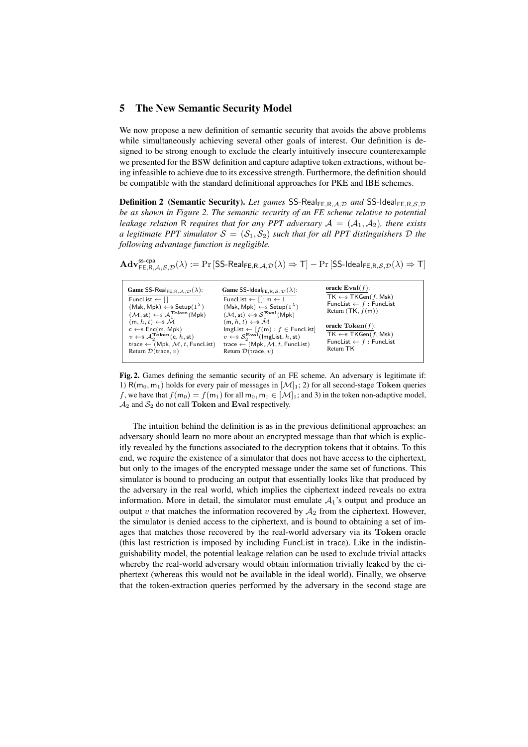## 5 The New Semantic Security Model

We now propose a new definition of semantic security that avoids the above problems while simultaneously achieving several other goals of interest. Our definition is designed to be strong enough to exclude the clearly intuitively insecure counterexample we presented for the BSW definition and capture adaptive token extractions, without being infeasible to achieve due to its excessive strength. Furthermore, the definition should be compatible with the standard definitional approaches for PKE and IBE schemes.

**Definition 2 (Semantic Security).** *Let games* SS-Real<sub>FE,R,A,D</sub> and SS-Ideal<sub>FE,R,S,D</sub> *be as shown in Figure 2. The semantic security of an FE scheme relative to potential leakage relation* R *requires that for any PPT adversary*  $A = (A_1, A_2)$ *, there exists a legitimate PPT simulator*  $S = (S_1, S_2)$  *such that for all PPT distinguishers*  $D$  *the following advantage function is negligible.*

 $\mathbf{Adv}_{\mathsf{FE},\mathsf{R},\mathcal{A},\mathcal{S},\mathcal{D}}^{\mathsf{ss-cpa}}(\lambda) := \Pr\left[\mathsf{SS}\text{-}\mathsf{Real}_{\mathsf{FE},\mathsf{R},\mathcal{A},\mathcal{D}}(\lambda) \Rightarrow \mathsf{T}\right] - \Pr\left[\mathsf{SS}\text{-}\mathsf{Ideal}_{\mathsf{FE},\mathsf{R},\mathcal{S},\mathcal{D}}(\lambda) \Rightarrow \mathsf{T}\right]$ 



Fig. 2. Games defining the semantic security of an FE scheme. An adversary is legitimate if: 1)  $R(m_0, m_1)$  holds for every pair of messages in  $\left[\mathcal{M}\right]_1$ ; 2) for all second-stage **Token** queries f, we have that  $f(m_0) = f(m_1)$  for all  $m_0, m_1 \in [\mathcal{M}]_1$ ; and 3) in the token non-adaptive model,  $A_2$  and  $S_2$  do not call **Token** and **Eval** respectively.

The intuition behind the definition is as in the previous definitional approaches: an adversary should learn no more about an encrypted message than that which is explicitly revealed by the functions associated to the decryption tokens that it obtains. To this end, we require the existence of a simulator that does not have access to the ciphertext, but only to the images of the encrypted message under the same set of functions. This simulator is bound to producing an output that essentially looks like that produced by the adversary in the real world, which implies the ciphertext indeed reveals no extra information. More in detail, the simulator must emulate  $A_1$ 's output and produce an output v that matches the information recovered by  $A_2$  from the ciphertext. However, the simulator is denied access to the ciphertext, and is bound to obtaining a set of images that matches those recovered by the real-world adversary via its Token oracle (this last restriction is imposed by including FuncList in trace). Like in the indistinguishability model, the potential leakage relation can be used to exclude trivial attacks whereby the real-world adversary would obtain information trivially leaked by the ciphertext (whereas this would not be available in the ideal world). Finally, we observe that the token-extraction queries performed by the adversary in the second stage are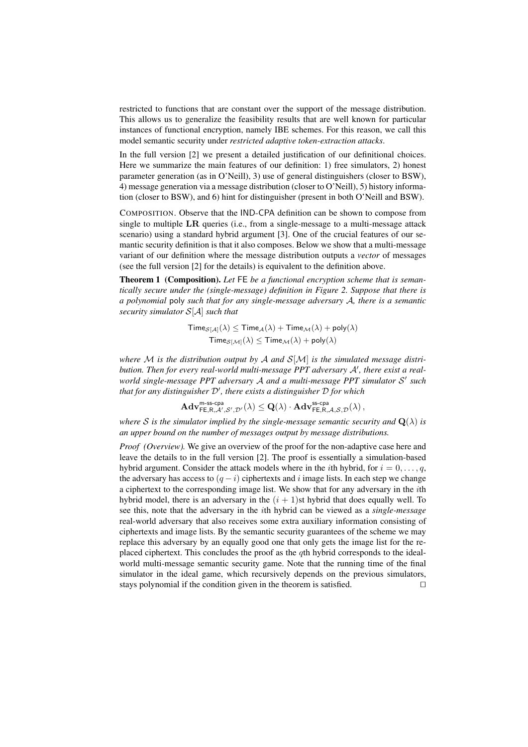restricted to functions that are constant over the support of the message distribution. This allows us to generalize the feasibility results that are well known for particular instances of functional encryption, namely IBE schemes. For this reason, we call this model semantic security under *restricted adaptive token-extraction attacks*.

In the full version [2] we present a detailed justification of our definitional choices. Here we summarize the main features of our definition: 1) free simulators, 2) honest parameter generation (as in O'Neill), 3) use of general distinguishers (closer to BSW), 4) message generation via a message distribution (closer to O'Neill), 5) history information (closer to BSW), and 6) hint for distinguisher (present in both O'Neill and BSW).

COMPOSITION. Observe that the IND-CPA definition can be shown to compose from single to multiple LR queries (i.e., from a single-message to a multi-message attack scenario) using a standard hybrid argument [3]. One of the crucial features of our semantic security definition is that it also composes. Below we show that a multi-message variant of our definition where the message distribution outputs a *vector* of messages (see the full version [2] for the details) is equivalent to the definition above.

Theorem 1 (Composition). *Let* FE *be a functional encryption scheme that is semantically secure under the (single-message) definition in Figure 2. Suppose that there is a polynomial* poly *such that for any single-message adversary* A*, there is a semantic security simulator* S[A] *such that*

> $\text{Time}_{\mathcal{S}[\mathcal{A}]}(\lambda) \leq \text{Time}_{\mathcal{A}}(\lambda) + \text{Time}_{\mathcal{M}}(\lambda) + \text{poly}(\lambda)$  $\text{Time}_{\mathcal{S}[\mathcal{M}]}(\lambda) \leq \text{Time}_{\mathcal{M}}(\lambda) + \text{poly}(\lambda)$

*where* M *is the distribution output by* A *and* S[M] *is the simulated message distri*bution. Then for every real-world multi-message PPT adversary A', there exist a real*world single-message PPT adversary* A *and a multi-message PPT simulator* S 0 *such that for any distinguisher*  $\mathcal{D}'$ *, there exists a distinguisher*  $\mathcal D$  *for which* 

 $\mathbf{Adv}^{\mathsf{m-ss-cpa}}_{\mathsf{FE},\mathsf{R},\mathcal{A}',\mathcal{S}',\mathcal{D}'}(\lambda) \leq \mathbf{Q}(\lambda) \cdot \mathbf{Adv}^{\mathsf{ss-cpa}}_{\mathsf{FE},\mathsf{R},\mathcal{A},\mathcal{S},\mathcal{D}}(\lambda)\,,$ 

*where S* is the simulator implied by the single-message semantic security and  $\mathbf{Q}(\lambda)$  *is an upper bound on the number of messages output by message distributions.*

*Proof (Overview)*. We give an overview of the proof for the non-adaptive case here and leave the details to in the full version [2]. The proof is essentially a simulation-based hybrid argument. Consider the attack models where in the *i*th hybrid, for  $i = 0, \ldots, q$ , the adversary has access to  $(q - i)$  ciphertexts and i image lists. In each step we change a ciphertext to the corresponding image list. We show that for any adversary in the ith hybrid model, there is an adversary in the  $(i + 1)$ st hybrid that does equally well. To see this, note that the adversary in the ith hybrid can be viewed as a *single-message* real-world adversary that also receives some extra auxiliary information consisting of ciphertexts and image lists. By the semantic security guarantees of the scheme we may replace this adversary by an equally good one that only gets the image list for the replaced ciphertext. This concludes the proof as the qth hybrid corresponds to the idealworld multi-message semantic security game. Note that the running time of the final simulator in the ideal game, which recursively depends on the previous simulators, stays polynomial if the condition given in the theorem is satisfied.  $\Box$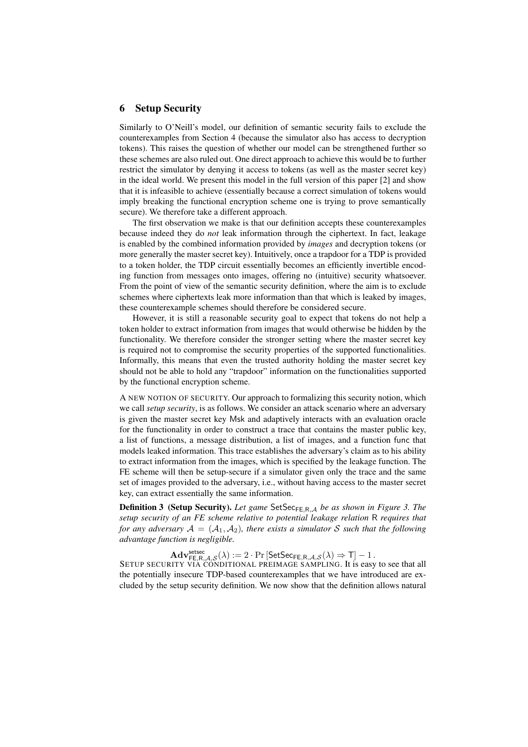## 6 Setup Security

Similarly to O'Neill's model, our definition of semantic security fails to exclude the counterexamples from Section 4 (because the simulator also has access to decryption tokens). This raises the question of whether our model can be strengthened further so these schemes are also ruled out. One direct approach to achieve this would be to further restrict the simulator by denying it access to tokens (as well as the master secret key) in the ideal world. We present this model in the full version of this paper [2] and show that it is infeasible to achieve (essentially because a correct simulation of tokens would imply breaking the functional encryption scheme one is trying to prove semantically secure). We therefore take a different approach.

The first observation we make is that our definition accepts these counterexamples because indeed they do *not* leak information through the ciphertext. In fact, leakage is enabled by the combined information provided by *images* and decryption tokens (or more generally the master secret key). Intuitively, once a trapdoor for a TDP is provided to a token holder, the TDP circuit essentially becomes an efficiently invertible encoding function from messages onto images, offering no (intuitive) security whatsoever. From the point of view of the semantic security definition, where the aim is to exclude schemes where ciphertexts leak more information than that which is leaked by images, these counterexample schemes should therefore be considered secure.

However, it is still a reasonable security goal to expect that tokens do not help a token holder to extract information from images that would otherwise be hidden by the functionality. We therefore consider the stronger setting where the master secret key is required not to compromise the security properties of the supported functionalities. Informally, this means that even the trusted authority holding the master secret key should not be able to hold any "trapdoor" information on the functionalities supported by the functional encryption scheme.

A NEW NOTION OF SECURITY. Our approach to formalizing this security notion, which we call *setup security*, is as follows. We consider an attack scenario where an adversary is given the master secret key Msk and adaptively interacts with an evaluation oracle for the functionality in order to construct a trace that contains the master public key, a list of functions, a message distribution, a list of images, and a function func that models leaked information. This trace establishes the adversary's claim as to his ability to extract information from the images, which is specified by the leakage function. The FE scheme will then be setup-secure if a simulator given only the trace and the same set of images provided to the adversary, i.e., without having access to the master secret key, can extract essentially the same information.

**Definition 3 (Setup Security).** Let game SetSec<sub>FE,R,A</sub> be as shown in Figure 3. The *setup security of an FE scheme relative to potential leakage relation* R *requires that for any adversary*  $A = (A_1, A_2)$ *, there exists a simulator* S *such that the following advantage function is negligible.*

 $\mathbf{Adv}^{\mathsf{setsec}}_{\mathsf{FE},\mathsf{R},\mathcal{A},\mathcal{S}}(\lambda) := 2 \cdot \Pr\left[\mathsf{SetSec}_{\mathsf{FE},\mathsf{R},\mathcal{A},\mathcal{S}}(\lambda) \Rightarrow \mathsf{T}\right] - 1$ .

SETUP SECURITY VIA CONDITIONAL PREIMAGE SAMPLING. It is easy to see that all the potentially insecure TDP-based counterexamples that we have introduced are excluded by the setup security definition. We now show that the definition allows natural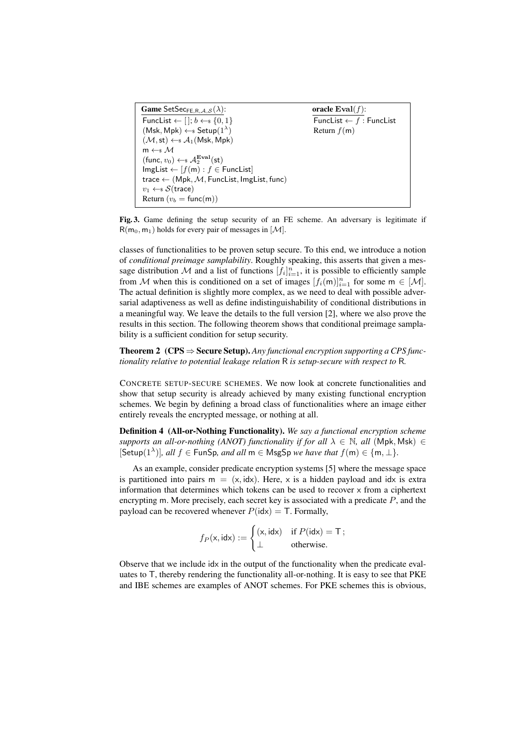```
Game SetSec<sub>FE,R,A,S</sub>(\lambda):
FuncList \leftarrow [ ]; b \leftarrow \{0, 1\}(Msk, Mpk) \leftarrow s Setup(1^{\lambda})(\mathcal{M},\mathsf{st}) \leftarrow_{\$} \mathcal{A}_1(\mathsf{Msk},\mathsf{Mpk})m \leftarrow s \mathcal{M}(\text{func}, v_0) \leftarrow \mathcal{A}_2^{\text{Eval}}(\text{st})ImgList \leftarrow [f(m) : f \in FunClist]trace \leftarrow (Mpk, M, FuncList, ImgList, func)
v_1 \leftarrow s \mathcal{S}(trace)
Return (v_b = \text{func}(m))oracle \text{Eval}(f):
                                                                                       FuncList \leftarrow f : FuncList
                                                                                       Return f(m)
```
Fig. 3. Game defining the setup security of an FE scheme. An adversary is legitimate if  $R(m_0, m_1)$  holds for every pair of messages in  $[\mathcal{M}]$ .

classes of functionalities to be proven setup secure. To this end, we introduce a notion of *conditional preimage samplability*. Roughly speaking, this asserts that given a message distribution M and a list of functions  $[f_i]_{i=1}^n$ , it is possible to efficiently sample from M when this is conditioned on a set of images  $[f_i(m)]_{i=1}^n$  for some  $m \in [\mathcal{M}]$ . The actual definition is slightly more complex, as we need to deal with possible adversarial adaptiveness as well as define indistinguishability of conditional distributions in a meaningful way. We leave the details to the full version [2], where we also prove the results in this section. The following theorem shows that conditional preimage samplability is a sufficient condition for setup security.

Theorem 2 (CPS ⇒ Secure Setup). *Any functional encryption supporting a CPS functionality relative to potential leakage relation* R *is setup-secure with respect to* R*.*

CONCRETE SETUP-SECURE SCHEMES. We now look at concrete functionalities and show that setup security is already achieved by many existing functional encryption schemes. We begin by defining a broad class of functionalities where an image either entirely reveals the encrypted message, or nothing at all.

Definition 4 (All-or-Nothing Functionality). *We say a functional encryption scheme supports an all-or-nothing (ANOT) functionality if for all*  $\lambda \in \mathbb{N}$ , all (Mpk, Msk)  $\in$  $[Setup(1^{\lambda})]$ *, all*  $f \in FunSp$ *, and all*  $m \in MsgSp$  *we have that*  $f(m) \in \{m, \perp\}$ *.* 

As an example, consider predicate encryption systems [5] where the message space is partitioned into pairs  $m = (x, idx)$ . Here, x is a hidden payload and idx is extra information that determines which tokens can be used to recover  $\times$  from a ciphertext encrypting m. More precisely, each secret key is associated with a predicate  $P$ , and the payload can be recovered whenever  $P(\text{idx}) = T$ . Formally,

$$
f_P(\mathsf{x}, \mathsf{idx}) := \begin{cases} (\mathsf{x}, \mathsf{idx}) & \text{if } P(\mathsf{idx}) = \mathsf{T} \\ \perp & \text{otherwise.} \end{cases}
$$

Observe that we include idx in the output of the functionality when the predicate evaluates to T, thereby rendering the functionality all-or-nothing. It is easy to see that PKE and IBE schemes are examples of ANOT schemes. For PKE schemes this is obvious,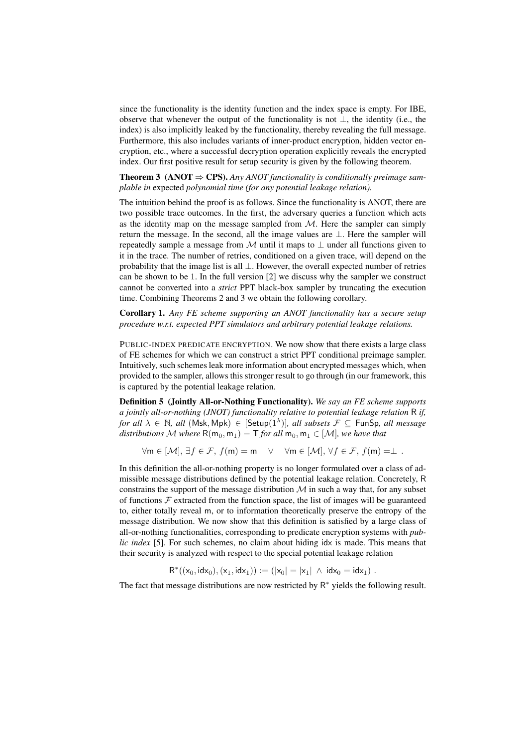since the functionality is the identity function and the index space is empty. For IBE, observe that whenever the output of the functionality is not  $\perp$ , the identity (i.e., the index) is also implicitly leaked by the functionality, thereby revealing the full message. Furthermore, this also includes variants of inner-product encryption, hidden vector encryption, etc., where a successful decryption operation explicitly reveals the encrypted index. Our first positive result for setup security is given by the following theorem.

**Theorem 3 (ANOT**  $\Rightarrow$  **CPS).** Any ANOT functionality is conditionally preimage sam*plable in* expected *polynomial time (for any potential leakage relation).*

The intuition behind the proof is as follows. Since the functionality is ANOT, there are two possible trace outcomes. In the first, the adversary queries a function which acts as the identity map on the message sampled from  $M$ . Here the sampler can simply return the message. In the second, all the image values are  $\perp$ . Here the sampler will repeatedly sample a message from  $M$  until it maps to  $\perp$  under all functions given to it in the trace. The number of retries, conditioned on a given trace, will depend on the probability that the image list is all ⊥. However, the overall expected number of retries can be shown to be 1. In the full version [2] we discuss why the sampler we construct cannot be converted into a *strict* PPT black-box sampler by truncating the execution time. Combining Theorems 2 and 3 we obtain the following corollary.

Corollary 1. *Any FE scheme supporting an ANOT functionality has a secure setup procedure w.r.t. expected PPT simulators and arbitrary potential leakage relations.*

PUBLIC-INDEX PREDICATE ENCRYPTION. We now show that there exists a large class of FE schemes for which we can construct a strict PPT conditional preimage sampler. Intuitively, such schemes leak more information about encrypted messages which, when provided to the sampler, allows this stronger result to go through (in our framework, this is captured by the potential leakage relation.

Definition 5 (Jointly All-or-Nothing Functionality). *We say an FE scheme supports a jointly all-or-nothing (JNOT) functionality relative to potential leakage relation* R *if, for all*  $\lambda \in \mathbb{N}$ , all  $(Msk, Mpk) \in [Setup(1^{\lambda})]$ , all subsets  $\mathcal{F} \subseteq$  FunSp, all message *distributions* M where  $R(m_0, m_1) = T$  *for all*  $m_0, m_1 \in [M]$ *, we have that* 

 $\forall m \in [\mathcal{M}], \exists f \in \mathcal{F}, f(m) = m \quad \vee \quad \forall m \in [\mathcal{M}], \forall f \in \mathcal{F}, f(m) = \perp.$ 

In this definition the all-or-nothing property is no longer formulated over a class of admissible message distributions defined by the potential leakage relation. Concretely, R constrains the support of the message distribution  $M$  in such a way that, for any subset of functions  $\mathcal F$  extracted from the function space, the list of images will be guaranteed to, either totally reveal m, or to information theoretically preserve the entropy of the message distribution. We now show that this definition is satisfied by a large class of all-or-nothing functionalities, corresponding to predicate encryption systems with *public index* [5]. For such schemes, no claim about hiding idx is made. This means that their security is analyzed with respect to the special potential leakage relation

 $R^*((x_0, idx_0), (x_1, idx_1)) := (|x_0| = |x_1| \land idx_0 = idx_1)$ .

The fact that message distributions are now restricted by  $R^*$  yields the following result.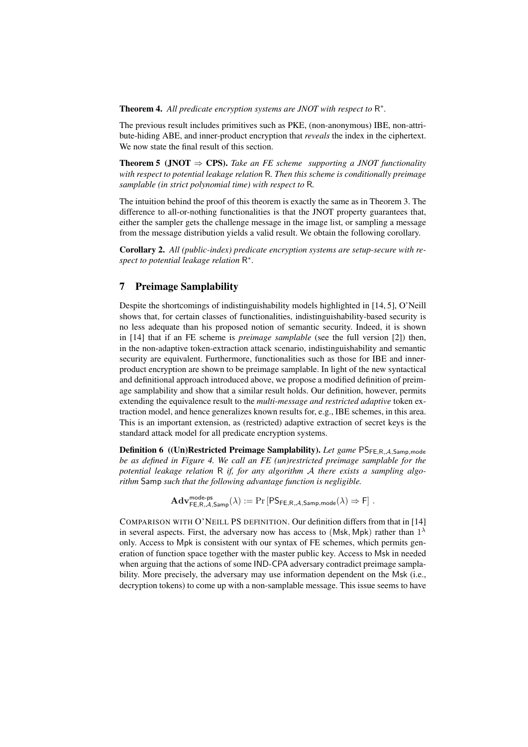Theorem 4. *All predicate encryption systems are JNOT with respect to* R ∗ *.*

The previous result includes primitives such as PKE, (non-anonymous) IBE, non-attribute-hiding ABE, and inner-product encryption that *reveals* the index in the ciphertext. We now state the final result of this section.

**Theorem 5 (JNOT**  $\Rightarrow$  **CPS).** *Take an FE scheme supporting a JNOT functionality with respect to potential leakage relation* R*. Then this scheme is conditionally preimage samplable (in strict polynomial time) with respect to* R*.*

The intuition behind the proof of this theorem is exactly the same as in Theorem 3. The difference to all-or-nothing functionalities is that the JNOT property guarantees that, either the sampler gets the challenge message in the image list, or sampling a message from the message distribution yields a valid result. We obtain the following corollary.

Corollary 2. *All (public-index) predicate encryption systems are setup-secure with respect to potential leakage relation* R ∗ *.*

# 7 Preimage Samplability

Despite the shortcomings of indistinguishability models highlighted in [14, 5], O'Neill shows that, for certain classes of functionalities, indistinguishability-based security is no less adequate than his proposed notion of semantic security. Indeed, it is shown in [14] that if an FE scheme is *preimage samplable* (see the full version [2]) then, in the non-adaptive token-extraction attack scenario, indistinguishability and semantic security are equivalent. Furthermore, functionalities such as those for IBE and innerproduct encryption are shown to be preimage samplable. In light of the new syntactical and definitional approach introduced above, we propose a modified definition of preimage samplability and show that a similar result holds. Our definition, however, permits extending the equivalence result to the *multi-message and restricted adaptive* token extraction model, and hence generalizes known results for, e.g., IBE schemes, in this area. This is an important extension, as (restricted) adaptive extraction of secret keys is the standard attack model for all predicate encryption systems.

**Definition 6 ((Un)Restricted Preimage Samplability).** Let game PS<sub>FE,R,A,Samp,mode</sub> *be as defined in Figure 4. We call an FE (un)restricted preimage samplable for the potential leakage relation* R *if, for any algorithm* A *there exists a sampling algorithm* Samp *such that the following advantage function is negligible.*

$$
\mathbf{Adv}_{\mathsf{FE},\mathsf{R},\mathcal{A},\mathsf{Samp}}^{\mathsf{mode\text{-}ps}}(\lambda) := \Pr\left[\mathsf{PS}_{\mathsf{FE},\mathsf{R},\mathcal{A},\mathsf{Samp},\mathsf{mode}}(\lambda) \Rightarrow \mathsf{F}\right]\,.
$$

COMPARISON WITH O'NEILL PS DEFINITION. Our definition differs from that in [14] in several aspects. First, the adversary now has access to (Msk, Mpk) rather than  $1^{\lambda}$ only. Access to Mpk is consistent with our syntax of FE schemes, which permits generation of function space together with the master public key. Access to Msk in needed when arguing that the actions of some IND-CPA adversary contradict preimage samplability. More precisely, the adversary may use information dependent on the Msk (i.e., decryption tokens) to come up with a non-samplable message. This issue seems to have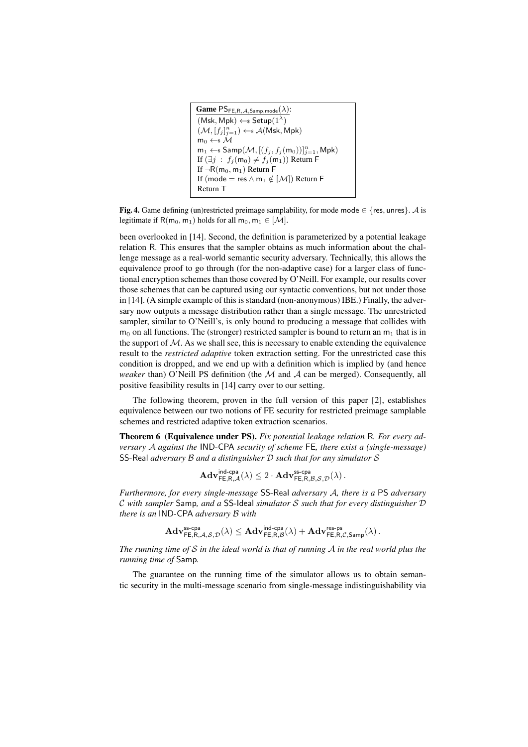```
Game PS_{FE,R,A,Samp,mode}(\lambda):
(Msk, Mpk) \leftarrow s Setup(1^{\lambda})(\mathcal{M}, [f_j]_{j=1}^n) \leftarrow \mathcal{A}(\mathsf{Msk}, \mathsf{Mpk})m_0 \leftarrow s \mathcal{M}m_1 \leftarrow s Samp(\mathcal{M}, [(f_j, f_j(m_0))]_{j=1}^n, \mathsf{Mpk})If (\exists j : f_j(\mathsf{m}_0) \neq f_j(\mathsf{m}_1)) Return F
If \neg R(m_0, m_1) Return F
If (mode = res \wedge m<sub>1</sub> \notin [M]) Return F
Return T
```
**Fig. 4.** Game defining (un)restricted preimage samplability, for mode mode  $\in \{$ res, unres $\}$ . A is legitimate if  $R(m_0, m_1)$  holds for all  $m_0, m_1 \in [\mathcal{M}]$ .

been overlooked in [14]. Second, the definition is parameterized by a potential leakage relation R. This ensures that the sampler obtains as much information about the challenge message as a real-world semantic security adversary. Technically, this allows the equivalence proof to go through (for the non-adaptive case) for a larger class of functional encryption schemes than those covered by O'Neill. For example, our results cover those schemes that can be captured using our syntactic conventions, but not under those in [14]. (A simple example of this is standard (non-anonymous) IBE.) Finally, the adversary now outputs a message distribution rather than a single message. The unrestricted sampler, similar to O'Neill's, is only bound to producing a message that collides with  $m_0$  on all functions. The (stronger) restricted sampler is bound to return an  $m_1$  that is in the support of  $M$ . As we shall see, this is necessary to enable extending the equivalence result to the *restricted adaptive* token extraction setting. For the unrestricted case this condition is dropped, and we end up with a definition which is implied by (and hence *weaker* than) O'Neill PS definition (the M and A can be merged). Consequently, all positive feasibility results in [14] carry over to our setting.

The following theorem, proven in the full version of this paper [2], establishes equivalence between our two notions of FE security for restricted preimage samplable schemes and restricted adaptive token extraction scenarios.

Theorem 6 (Equivalence under PS). *Fix potential leakage relation* R*. For every adversary* A *against the* IND-CPA *security of scheme* FE*, there exist a (single-message)* SS-Real *adversary* B *and a distinguisher* D *such that for any simulator* S

$$
\mathbf{Adv}_{\mathsf{FE},\mathsf{R},\mathcal{A}}^{\mathsf{ind-cpa}}(\lambda) \leq 2\cdot \mathbf{Adv}_{\mathsf{FE},\mathsf{R},\mathcal{B},\mathcal{S},\mathcal{D}}^{\mathsf{ss-cpa}}(\lambda)\,.
$$

*Furthermore, for every single-message* SS-Real *adversary* A*, there is a* PS *adversary* C *with sampler* Samp*, and a* SS-Ideal *simulator* S *such that for every distinguisher* D *there is an* IND-CPA *adversary* B *with*

$$
\mathbf{Adv}_{\mathsf{FE},\mathsf{R},\mathcal{A},\mathcal{S},\mathcal{D}}^{\mathsf{ss-cpa}}(\lambda) \leq \mathbf{Adv}_{\mathsf{FE},\mathsf{R},\mathcal{B}}^{\mathsf{ind-cpa}}(\lambda) + \mathbf{Adv}_{\mathsf{FE},\mathsf{R},\mathcal{C},\mathsf{Samp}}^{\mathsf{res-ps}}(\lambda)\,.
$$

*The running time of* S *in the ideal world is that of running* A *in the real world plus the running time of* Samp*.*

The guarantee on the running time of the simulator allows us to obtain semantic security in the multi-message scenario from single-message indistinguishability via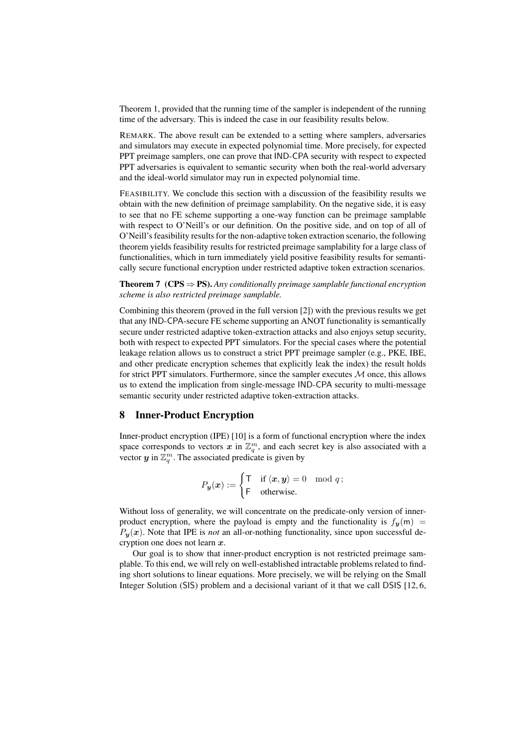Theorem 1, provided that the running time of the sampler is independent of the running time of the adversary. This is indeed the case in our feasibility results below.

REMARK. The above result can be extended to a setting where samplers, adversaries and simulators may execute in expected polynomial time. More precisely, for expected PPT preimage samplers, one can prove that IND-CPA security with respect to expected PPT adversaries is equivalent to semantic security when both the real-world adversary and the ideal-world simulator may run in expected polynomial time.

FEASIBILITY. We conclude this section with a discussion of the feasibility results we obtain with the new definition of preimage samplability. On the negative side, it is easy to see that no FE scheme supporting a one-way function can be preimage samplable with respect to O'Neill's or our definition. On the positive side, and on top of all of O'Neill's feasibility results for the non-adaptive token extraction scenario, the following theorem yields feasibility results for restricted preimage samplability for a large class of functionalities, which in turn immediately yield positive feasibility results for semantically secure functional encryption under restricted adaptive token extraction scenarios.

**Theorem 7** ( $\text{CPS} \Rightarrow \text{PS}$ ). Any conditionally preimage samplable functional encryption *scheme is also restricted preimage samplable.*

Combining this theorem (proved in the full version [2]) with the previous results we get that any IND-CPA-secure FE scheme supporting an ANOT functionality is semantically secure under restricted adaptive token-extraction attacks and also enjoys setup security, both with respect to expected PPT simulators. For the special cases where the potential leakage relation allows us to construct a strict PPT preimage sampler (e.g., PKE, IBE, and other predicate encryption schemes that explicitly leak the index) the result holds for strict PPT simulators. Furthermore, since the sampler executes  $M$  once, this allows us to extend the implication from single-message IND-CPA security to multi-message semantic security under restricted adaptive token-extraction attacks.

#### 8 Inner-Product Encryption

Inner-product encryption (IPE) [10] is a form of functional encryption where the index space corresponds to vectors x in  $\mathbb{Z}_q^m$ , and each secret key is also associated with a vector  $y$  in  $\mathbb{Z}_q^m$ . The associated predicate is given by

$$
P_{\boldsymbol{y}}(\boldsymbol{x}) := \begin{cases} \mathsf{T} & \text{if } \langle \boldsymbol{x}, \boldsymbol{y} \rangle = 0 \mod q; \\ \mathsf{F} & \text{otherwise.} \end{cases}
$$

Without loss of generality, we will concentrate on the predicate-only version of innerproduct encryption, where the payload is empty and the functionality is  $f_{\nu}(m)$  =  $P_y(x)$ . Note that IPE is *not* an all-or-nothing functionality, since upon successful decryption one does not learn  $x$ .

Our goal is to show that inner-product encryption is not restricted preimage samplable. To this end, we will rely on well-established intractable problems related to finding short solutions to linear equations. More precisely, we will be relying on the Small Integer Solution (SIS) problem and a decisional variant of it that we call DSIS [12, 6,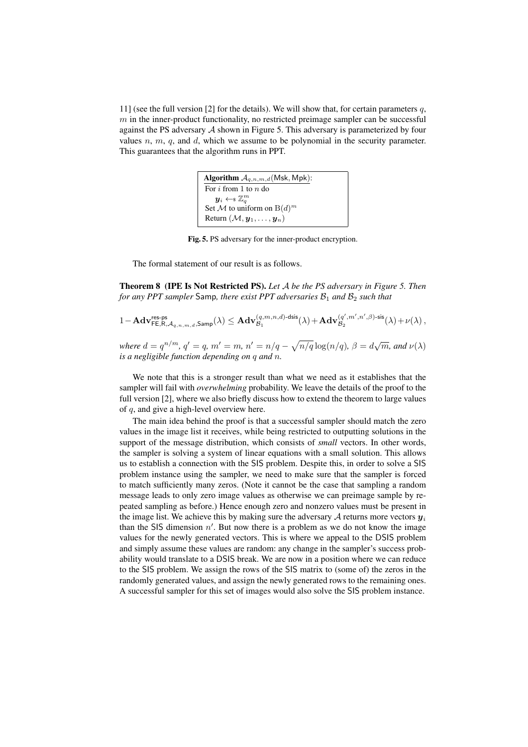11] (see the full version [2] for the details). We will show that, for certain parameters q,  $m$  in the inner-product functionality, no restricted preimage sampler can be successful against the PS adversary  $A$  shown in Figure 5. This adversary is parameterized by four values  $n, m, q$ , and  $d$ , which we assume to be polynomial in the security parameter. This guarantees that the algorithm runs in PPT.

| <b>Algorithm</b> $A_{q,n,m,d}$ (Msk, Mpk):                |  |  |
|-----------------------------------------------------------|--|--|
| For i from 1 to $n$ do                                    |  |  |
| $\boldsymbol{y}_i \leftarrow$ s $\mathbb{Z}_a^m$          |  |  |
| Set M to uniform on $B(d)^m$                              |  |  |
| Return $(\mathcal{M}, \mathbf{y}_1, \dots, \mathbf{y}_n)$ |  |  |

Fig. 5. PS adversary for the inner-product encryption.

The formal statement of our result is as follows.

Theorem 8 (IPE Is Not Restricted PS). *Let* A *be the PS adversary in Figure 5. Then for any PPT sampler* Samp, there exist PPT adversaries  $B_1$  and  $B_2$  such that

$$
1-\mathbf{Adv}^{\text{res-ps}}_{\mathsf{FE}, \mathsf{R}, \mathcal{A}_{q,n,m,d}, \mathsf{Samp}}(\lambda) \leq \mathbf{Adv}^{(q,m,n,d)\text{-disis}}_{\mathcal{B}_1}(\lambda) + \mathbf{Adv}^{(q',m',n',\beta)\text{-sis}}_{\mathcal{B}_2}(\lambda) + \nu(\lambda)\,,
$$

*where*  $d = q^{n/m}$ ,  $q' = q$ ,  $m' = m$ ,  $n' = n/q - \sqrt{n/q} \log(n/q)$ ,  $\beta = d\sqrt{m}$ , and  $\nu(\lambda)$ *is a negligible function depending on* q *and* n*.*

We note that this is a stronger result than what we need as it establishes that the sampler will fail with *overwhelming* probability. We leave the details of the proof to the full version [2], where we also briefly discuss how to extend the theorem to large values of  $q$ , and give a high-level overview here.

The main idea behind the proof is that a successful sampler should match the zero values in the image list it receives, while being restricted to outputting solutions in the support of the message distribution, which consists of *small* vectors. In other words, the sampler is solving a system of linear equations with a small solution. This allows us to establish a connection with the SIS problem. Despite this, in order to solve a SIS problem instance using the sampler, we need to make sure that the sampler is forced to match sufficiently many zeros. (Note it cannot be the case that sampling a random message leads to only zero image values as otherwise we can preimage sample by repeated sampling as before.) Hence enough zero and nonzero values must be present in the image list. We achieve this by making sure the adversary A returns more vectors  $y_i$ than the SIS dimension  $n'$ . But now there is a problem as we do not know the image values for the newly generated vectors. This is where we appeal to the DSIS problem and simply assume these values are random: any change in the sampler's success probability would translate to a DSIS break. We are now in a position where we can reduce to the SIS problem. We assign the rows of the SIS matrix to (some of) the zeros in the randomly generated values, and assign the newly generated rows to the remaining ones. A successful sampler for this set of images would also solve the SIS problem instance.